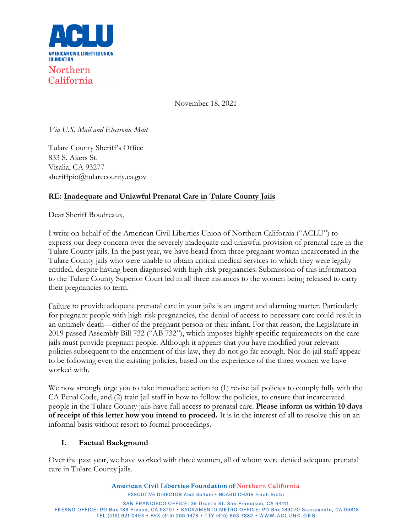

November 18, 2021

*Via U.S. Mail and Electronic Mail*

Tulare County Sheriff's Office 833 S. Akers St. Visalia, CA 93277 sheriffpio@tularecounty.ca.gov

# **RE: Inadequate and Unlawful Prenatal Care in Tulare County Jails**

Dear Sheriff Boudreaux,

I write on behalf of the American Civil Liberties Union of Northern California ("ACLU") to express our deep concern over the severely inadequate and unlawful provision of prenatal care in the Tulare County jails. In the past year, we have heard from three pregnant woman incarcerated in the Tulare County jails who were unable to obtain critical medical services to which they were legally entitled, despite having been diagnosed with high-risk pregnancies. Submission of this information to the Tulare County Superior Court led in all three instances to the women being released to carry their pregnancies to term.

Failure to provide adequate prenatal care in your jails is an urgent and alarming matter. Particularly for pregnant people with high-risk pregnancies, the denial of access to necessary care could result in an untimely death—either of the pregnant person or their infant. For that reason, the Legislature in 2019 passed Assembly Bill 732 ("AB 732"), which imposes highly specific requirements on the care jails must provide pregnant people. Although it appears that you have modified your relevant policies subsequent to the enactment of this law, they do not go far enough. Nor do jail staff appear to be following even the existing policies, based on the experience of the three women we have worked with.

We now strongly urge you to take immediate action to (1) revise jail policies to comply fully with the CA Penal Code, and (2) train jail staff in how to follow the policies, to ensure that incarcerated people in the Tulare County jails have full access to prenatal care. **Please inform us within 10 days of receipt of this letter how you intend to proceed.** It is in the interest of all to resolve this on an informal basis without resort to formal proceedings.

#### **I. Factual Background**

Over the past year, we have worked with three women, all of whom were denied adequate prenatal care in Tulare County jails.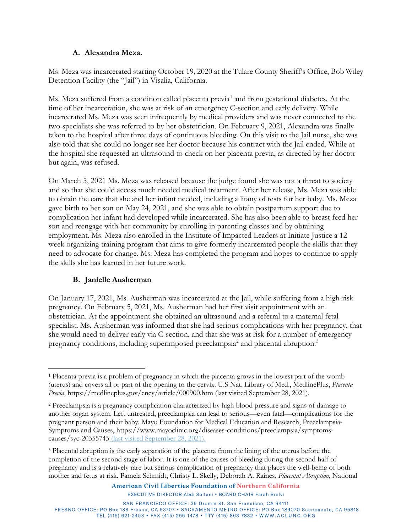#### **A. Alexandra Meza.**

Ms. Meza was incarcerated starting October 19, 2020 at the Tulare County Sheriff's Office, Bob Wiley Detention Facility (the "Jail") in Visalia, California.

Ms. Meza suffered from a condition called placenta previa<sup>[1](#page-1-0)</sup> and from gestational diabetes. At the time of her incarceration, she was at risk of an emergency C-section and early delivery. While incarcerated Ms. Meza was seen infrequently by medical providers and was never connected to the two specialists she was referred to by her obstetrician. On February 9, 2021, Alexandra was finally taken to the hospital after three days of continuous bleeding. On this visit to the Jail nurse, she was also told that she could no longer see her doctor because his contract with the Jail ended. While at the hospital she requested an ultrasound to check on her placenta previa, as directed by her doctor but again, was refused.

On March 5, 2021 Ms. Meza was released because the judge found she was not a threat to society and so that she could access much needed medical treatment. After her release, Ms. Meza was able to obtain the care that she and her infant needed, including a litany of tests for her baby. Ms. Meza gave birth to her son on May 24, 2021, and she was able to obtain postpartum support due to complication her infant had developed while incarcerated. She has also been able to breast feed her son and reengage with her community by enrolling in parenting classes and by obtaining employment. Ms. Meza also enrolled in the Institute of Impacted Leaders at Initiate Justice a 12 week organizing training program that aims to give formerly incarcerated people the skills that they need to advocate for change. Ms. Meza has completed the program and hopes to continue to apply the skills she has learned in her future work.

#### **B. Janielle Ausherman**

On January 17, 2021, Ms. Ausherman was incarcerated at the Jail, while suffering from a high-risk pregnancy. On February 5, 2021, Ms. Ausherman had her first visit appointment with an obstetrician. At the appointment she obtained an ultrasound and a referral to a maternal fetal specialist. Ms. Ausherman was informed that she had serious complications with her pregnancy, that she would need to deliver early via C-section, and that she was at risk for a number of emergency pregnancy conditions, including superimposed preeclampsia<sup>2</sup> and placental abruption.<sup>[3](#page-1-2)</sup>

<span id="page-1-0"></span><sup>1</sup> Placenta previa is a problem of pregnancy in which the placenta grows in the lowest part of the womb (uterus) and covers all or part of the opening to the cervix. U.S Nat. Library of Med., MedlinePlus, *Placenta Previa*, https://medlineplus.gov/ency/article/000900.htm (last visited September 28, 2021).

<span id="page-1-1"></span><sup>2</sup> Preeclampsia is a pregnancy complication characterized by high blood pressure and signs of damage to another organ system. Left untreated, preeclampsia can lead to serious—even fatal—complications for the pregnant person and their baby. Mayo Foundation for Medical Education and Research, Preeclampsia-Symptoms and Causes, https://www.mayoclinic.org/diseases-conditions/preeclampsia/symptomscauses/syc-20355745 (last visited September 28, 2021).

<span id="page-1-2"></span><sup>3</sup> Placental abruption is the early separation of the placenta from the lining of the uterus before the completion of the second stage of labor. It is one of the causes of bleeding during the second half of pregnancy and is a relatively rare but serious complication of pregnancy that places the well-being of both mother and fetus at risk. Pamela Schmidt, Christy L. Skelly, Deborah A. Raines, *Placental Abruption*, National

**EXECUTIVE DIRECTOR Abdi Soltani . BOARD CHAIR Farah Brelvi**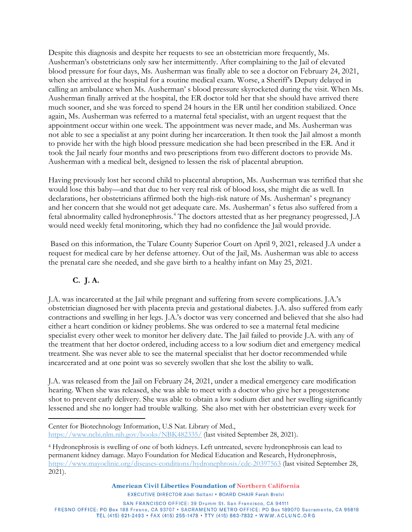Despite this diagnosis and despite her requests to see an obstetrician more frequently, Ms. Ausherman's obstetricians only saw her intermittently. After complaining to the Jail of elevated blood pressure for four days, Ms. Ausherman was finally able to see a doctor on February 24, 2021, when she arrived at the hospital for a routine medical exam. Worse, a Sheriff's Deputy delayed in calling an ambulance when Ms. Ausherman' s blood pressure skyrocketed during the visit. When Ms. Ausherman finally arrived at the hospital, the ER doctor told her that she should have arrived there much sooner, and she was forced to spend 24 hours in the ER until her condition stabilized. Once again, Ms. Ausherman was referred to a maternal fetal specialist, with an urgent request that the appointment occur within one week. The appointment was never made, and Ms. Ausherman was not able to see a specialist at any point during her incarceration. It then took the Jail almost a month to provide her with the high blood pressure medication she had been prescribed in the ER. And it took the Jail nearly four months and two prescriptions from two different doctors to provide Ms. Ausherman with a medical belt, designed to lessen the risk of placental abruption.

Having previously lost her second child to placental abruption, Ms. Ausherman was terrified that she would lose this baby—and that due to her very real risk of blood loss, she might die as well. In declarations, her obstetricians affirmed both the high-risk nature of Ms. Ausherman' s pregnancy and her concern that she would not get adequate care. Ms. Ausherman' s fetus also suffered from a fetal abnormality called hydronephrosis.[4](#page-2-0) The doctors attested that as her pregnancy progressed, J.A would need weekly fetal monitoring, which they had no confidence the Jail would provide.

 Based on this information, the Tulare County Superior Court on April 9, 2021, released J.A under a request for medical care by her defense attorney. Out of the Jail, Ms. Ausherman was able to access the prenatal care she needed, and she gave birth to a healthy infant on May 25, 2021.

# **C. J. A.**

J.A. was incarcerated at the Jail while pregnant and suffering from severe complications. J.A.'s obstetrician diagnosed her with placenta previa and gestational diabetes. J.A. also suffered from early contractions and swelling in her legs. J.A.'s doctor was very concerned and believed that she also had either a heart condition or kidney problems. She was ordered to see a maternal fetal medicine specialist every other week to monitor her delivery date. The Jail failed to provide J.A. with any of the treatment that her doctor ordered, including access to a low sodium diet and emergency medical treatment. She was never able to see the maternal specialist that her doctor recommended while incarcerated and at one point was so severely swollen that she lost the ability to walk.

J.A. was released from the Jail on February 24, 2021, under a medical emergency care modification hearing. When she was released, she was able to meet with a doctor who give her a progesterone shot to prevent early delivery. She was able to obtain a low sodium diet and her swelling significantly lessened and she no longer had trouble walking. She also met with her obstetrician every week for

Center for Biotechnology Information, U.S Nat. Library of Med., <https://www.ncbi.nlm.nih.gov/books/NBK482335/> (last visited September 28, 2021).

**American Civil Liberties Foundation of Northern California** 

<span id="page-2-0"></span><sup>4</sup> Hydronephrosis is swelling of one of both kidneys. Left untreated, severe hydronephrosis can lead to permanent kidney damage. Mayo Foundation for Medical Education and Research, Hydronephrosis, <https://www.mayoclinic.org/diseases-conditions/hydronephrosis/cdc-20397563> (last visited September 28, 2021).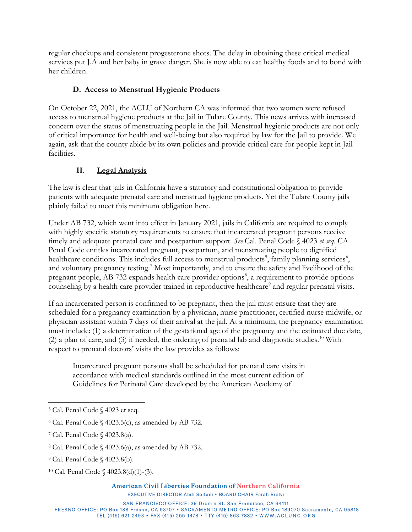regular checkups and consistent progesterone shots. The delay in obtaining these critical medical services put J.A and her baby in grave danger. She is now able to eat healthy foods and to bond with her children.

### **D. Access to Menstrual Hygienic Products**

On October 22, 2021, the ACLU of Northern CA was informed that two women were refused access to menstrual hygiene products at the Jail in Tulare County. This news arrives with increased concern over the status of menstruating people in the Jail. Menstrual hygienic products are not only of critical importance for health and well-being but also required by law for the Jail to provide. We again, ask that the county abide by its own policies and provide critical care for people kept in Jail facilities.

# **II. Legal Analysis**

The law is clear that jails in California have a statutory and constitutional obligation to provide patients with adequate prenatal care and menstrual hygiene products. Yet the Tulare County jails plainly failed to meet this minimum obligation here.

Under AB 732, which went into effect in January 2021, jails in California are required to comply with highly specific statutory requirements to ensure that incarcerated pregnant persons receive timely and adequate prenatal care and postpartum support. *See* Cal. Penal Code § 4023 *et seq.* CA Penal Code entitles incarcerated pregnant, postpartum, and menstruating people to dignified healthcare conditions. This includes full access to menstrual products<sup>[5](#page-3-0)</sup>, family planning services<sup>[6](#page-3-1)</sup>, and voluntary pregnancy testing.<sup>[7](#page-3-2)</sup> Most importantly, and to ensure the safety and livelihood of the pregnant people, AB 732 expands health care provider options<sup>[8](#page-3-3)</sup>, a requirement to provide options counseling by a health care provider trained in reproductive healthcare<sup>[9](#page-3-4)</sup> and regular prenatal visits.

If an incarcerated person is confirmed to be pregnant, then the jail must ensure that they are scheduled for a pregnancy examination by a physician, nurse practitioner, certified nurse midwife, or physician assistant within **7** days of their arrival at the jail. At a minimum, the pregnancy examination must include: (1) a determination of the gestational age of the pregnancy and the estimated due date,  $(2)$  a plan of care, and  $(3)$  if needed, the ordering of prenatal lab and diagnostic studies.<sup>[10](#page-3-5)</sup> With respect to prenatal doctors' visits the law provides as follows:

Incarcerated pregnant persons shall be scheduled for prenatal care visits in accordance with medical standards outlined in the most current edition of Guidelines for Perinatal Care developed by the American Academy of

<span id="page-3-0"></span><sup>5</sup> Cal. Penal Code § 4023 et seq.

<span id="page-3-1"></span> $6$  Cal. Penal Code  $\{(4023.5(c), \text{as amended by AB } 732\})$ .

<span id="page-3-2"></span><sup>7</sup> Cal. Penal Code § 4023.8(a).

<span id="page-3-3"></span><sup>8</sup> Cal. Penal Code § 4023.6(a), as amended by AB 732.

<span id="page-3-4"></span><sup>9</sup> Cal. Penal Code § 4023.8(b).

<span id="page-3-5"></span><sup>10</sup> Cal. Penal Code § 4023.8(d)(1)-(3).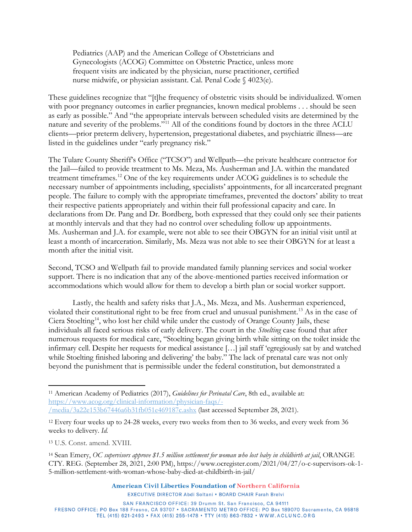Pediatrics (AAP) and the American College of Obstetricians and Gynecologists (ACOG) Committee on Obstetric Practice, unless more frequent visits are indicated by the physician, nurse practitioner, certified nurse midwife, or physician assistant. Cal. Penal Code § 4023(e).

These guidelines recognize that "[t]he frequency of obstetric visits should be individualized. Women with poor pregnancy outcomes in earlier pregnancies, known medical problems . . . should be seen as early as possible." And "the appropriate intervals between scheduled visits are determined by the nature and severity of the problems.["11](#page-4-0) All of the conditions found by doctors in the three ACLU clients—prior preterm delivery, hypertension, pregestational diabetes, and psychiatric illness—are listed in the guidelines under "early pregnancy risk."

The Tulare County Sheriff's Office ("TCSO") and Wellpath—the private healthcare contractor for the Jail—failed to provide treatment to Ms. Meza, Ms. Ausherman and J.A. within the mandated treatment timeframes. [12](#page-4-1) One of the key requirements under ACOG guidelines is to schedule the necessary number of appointments including, specialists' appointments, for all incarcerated pregnant people. The failure to comply with the appropriate timeframes, prevented the doctors' ability to treat their respective patients appropriately and within their full professional capacity and care. In declarations from Dr. Pang and Dr. Bordberg, both expressed that they could only see their patients at monthly intervals and that they had no control over scheduling follow up appointments. Ms. Ausherman and J.A. for example, were not able to see their OBGYN for an initial visit until at least a month of incarceration. Similarly, Ms. Meza was not able to see their OBGYN for at least a month after the initial visit.

Second, TCSO and Wellpath fail to provide mandated family planning services and social worker support. There is no indication that any of the above-mentioned parties received information or accommodations which would allow for them to develop a birth plan or social worker support.

Lastly, the health and safety risks that J.A., Ms. Meza, and Ms. Ausherman experienced, violated their constitutional right to be free from cruel and unusual punishment.[13](#page-4-2) As in the case of Ciera Stoelting<sup>[14](#page-4-3)</sup>, who lost her child while under the custody of Orange County Jails, these individuals all faced serious risks of early delivery. The court in the *Stoelting* case found that after numerous requests for medical care, "Stoelting began giving birth while sitting on the toilet inside the infirmary cell. Despite her requests for medical assistance […] jail staff 'egregiously sat by and watched while Stoelting finished laboring and delivering' the baby." The lack of prenatal care was not only beyond the punishment that is permissible under the federal constitution, but demonstrated a

American Civil Liberties Foundation of Northern California

<span id="page-4-0"></span><sup>11</sup> American Academy of Pediatrics (2017), *Guidelines for Perinatal Care*, 8th ed., available at: [https://www.acog.org/clinical-information/physician-faqs/-](https://www.acog.org/clinical-information/physician-faqs/-/media/3a22e153b67446a6b31fb051e469187c.ashx) [/media/3a22e153b67446a6b31fb051e469187c.ashx](https://www.acog.org/clinical-information/physician-faqs/-/media/3a22e153b67446a6b31fb051e469187c.ashx) (last accessed September 28, 2021).

<span id="page-4-1"></span><sup>12</sup> Every four weeks up to 24-28 weeks, every two weeks from then to 36 weeks, and every week from 36 weeks to delivery. *Id.*

<span id="page-4-2"></span><sup>13</sup> U.S. Const. amend. XVIII.

<span id="page-4-3"></span><sup>14</sup> Sean Emery, *OC supervisors approve \$1.5 million settlement for woman who lost baby in childbirth at jail*, ORANGE CTY. REG. (September 28, 2021, 2:00 PM), https://www.ocregister.com/2021/04/27/o-c-supervisors-ok-1- 5-million-settlement-with-woman-whose-baby-died-at-childbirth-in-jail/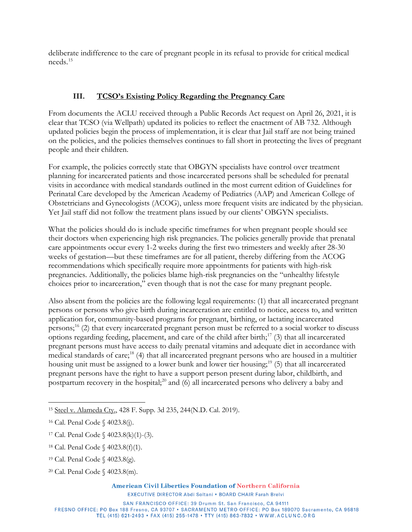deliberate indifference to the care of pregnant people in its refusal to provide for critical medical needs.[15](#page-5-0)

#### **III. TCSO's Existing Policy Regarding the Pregnancy Care**

From documents the ACLU received through a Public Records Act request on April 26, 2021, it is clear that TCSO (via Wellpath) updated its policies to reflect the enactment of AB 732. Although updated policies begin the process of implementation, it is clear that Jail staff are not being trained on the policies, and the policies themselves continues to fall short in protecting the lives of pregnant people and their children.

For example, the policies correctly state that OBGYN specialists have control over treatment planning for incarcerated patients and those incarcerated persons shall be scheduled for prenatal visits in accordance with medical standards outlined in the most current edition of Guidelines for Perinatal Care developed by the American Academy of Pediatrics (AAP) and American College of Obstetricians and Gynecologists (ACOG), unless more frequent visits are indicated by the physician. Yet Jail staff did not follow the treatment plans issued by our clients' OBGYN specialists.

What the policies should do is include specific timeframes for when pregnant people should see their doctors when experiencing high risk pregnancies. The policies generally provide that prenatal care appointments occur every 1-2 weeks during the first two trimesters and weekly after 28-30 weeks of gestation—but these timeframes are for all patient, thereby differing from the ACOG recommendations which specifically require more appointments for patients with high-risk pregnancies. Additionally, the policies blame high-risk pregnancies on the "unhealthy lifestyle choices prior to incarceration," even though that is not the case for many pregnant people.

Also absent from the policies are the following legal requirements: (1) that all incarcerated pregnant persons or persons who give birth during incarceration are entitled to notice, access to, and written application for, community-based programs for pregnant, birthing, or lactating incarcerated persons;[16](#page-5-1) (2) that every incarcerated pregnant person must be referred to a social worker to discuss options regarding feeding, placement, and care of the child after birth; [17](#page-5-2) (3) that all incarcerated pregnant persons must have access to daily prenatal vitamins and adequate diet in accordance with medical standards of care; [18](#page-5-3) (4) that all incarcerated pregnant persons who are housed in a multitier housing unit must be assigned to a lower bunk and lower tier housing;<sup>[19](#page-5-4)</sup> (5) that all incarcerated pregnant persons have the right to have a support person present during labor, childbirth, and postpartum recovery in the hospital; $^{20}$  $^{20}$  $^{20}$  and (6) all incarcerated persons who delivery a baby and

<span id="page-5-5"></span><sup>20</sup> Cal. Penal Code § 4023.8(m).

<span id="page-5-0"></span><sup>15</sup> Steel v. Alameda Cty., 428 F. Supp. 3d 235, 244(N.D. Cal. 2019).

<span id="page-5-1"></span><sup>16</sup> Cal. Penal Code § 4023.8(j).

<span id="page-5-2"></span><sup>17</sup> Cal. Penal Code § 4023.8(k)(1)-(3).

<span id="page-5-3"></span><sup>18</sup> Cal. Penal Code § 4023.8(f)(1).

<span id="page-5-4"></span><sup>19</sup> Cal. Penal Code § 4023.8(g).